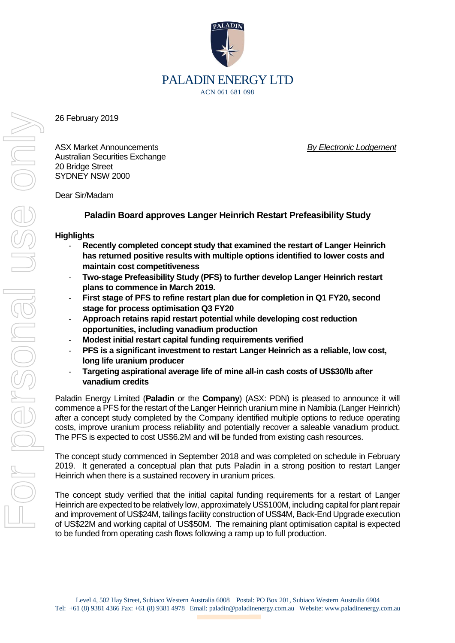

26 February 2019

ASX Market Announcements *By Electronic Lodgement* Australian Securities Exchange 20 Bridge Street SYDNEY NSW 2000

Dear Sir/Madam

## **Paladin Board approves Langer Heinrich Restart Prefeasibility Study**

## **Highlights**

- **Recently completed concept study that examined the restart of Langer Heinrich has returned positive results with multiple options identified to lower costs and maintain cost competitiveness**
- **Two-stage Prefeasibility Study (PFS) to further develop Langer Heinrich restart plans to commence in March 2019.**
- **First stage of PFS to refine restart plan due for completion in Q1 FY20, second stage for process optimisation Q3 FY20**
- **Approach retains rapid restart potential while developing cost reduction opportunities, including vanadium production**
- **Modest initial restart capital funding requirements verified**
- **PFS is a significant investment to restart Langer Heinrich as a reliable, low cost, long life uranium producer**
- **Targeting aspirational average life of mine all-in cash costs of US\$30/lb after vanadium credits**

Paladin Energy Limited (**Paladin** or the **Company**) (ASX: PDN) is pleased to announce it will commence a PFS for the restart of the Langer Heinrich uranium mine in Namibia (Langer Heinrich) after a concept study completed by the Company identified multiple options to reduce operating costs, improve uranium process reliability and potentially recover a saleable vanadium product. The PFS is expected to cost US\$6.2M and will be funded from existing cash resources.

The concept study commenced in September 2018 and was completed on schedule in February 2019. It generated a conceptual plan that puts Paladin in a strong position to restart Langer Heinrich when there is a sustained recovery in uranium prices.

The concept study verified that the initial capital funding requirements for a restart of Langer Heinrich are expected to be relatively low, approximately US\$100M, including capital for plant repair and improvement of US\$24M, tailings facility construction of US\$4M, Back-End Upgrade execution of US\$22M and working capital of US\$50M. The remaining plant optimisation capital is expected to be funded from operating cash flows following a ramp up to full production.